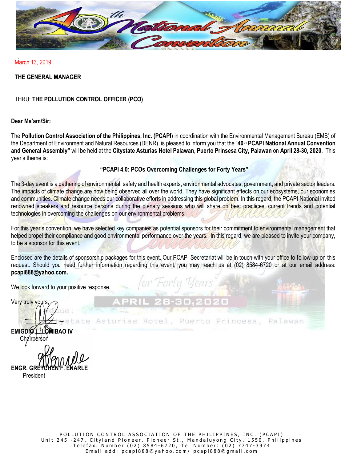

March 13, 2019

# **THE GENERAL MANAGER**

THRU: **THE POLLUTION CONTROL OFFICER (PCO)**

# **Dear Ma'am/Sir:**

The **Pollution Control Association of the Philippines, Inc. (PCAPI**) in coordination with the Environmental Management Bureau (EMB) of the Department of Environment and Natural Resources (DENR), is pleased to inform you that the "**40th PCAPI National Annual Convention and General Assembly"** will be held at the **Citystate Asturias Hotel Palawan**, **Puerto Prinsesa City, Palawan** on **April 28-30, 2020**. This year's theme is:

### **"PCAPI 4.0: PCOs Overcoming Challenges for Forty Years"**

The 3-day event is a gathering of environmental, safety and health experts, environmental advocates, government, and private sector leaders. The impacts of climate change are now being observed all over the world. They have significant effects on our ecosystems, our economies and communities. Climate change needs our collaborative efforts in addressing this global problem. In this regard, the PCAPI National invited renowned speakers and resource persons during the plenary sessions who will share on best practices, current trends and potential technologies in overcoming the challenges on our environmental problems.

For this year's convention, we have selected key companies as potential sponsors for their commitment to environmental management that helped propel their compliance and good environmental performance over the years. In this regard, we are pleased to invite your company, to be a sponsor for this event.

Enclosed are the details of sponsorship packages for this event. Our PCAPI Secretariat will be in touch with your office to follow-up on this request. Should you need further information regarding this event, you may reach us at (02) 8584-6720 or at our email address: **pcapi888@yahoo.com.**

rias Hotel, Puerto Princesa,

Palawan

We look forward to your positive response.

Very truly yours, **EMIGDIO L. LOMIBAO IV** Chairperson

**ENGR. GRE** President